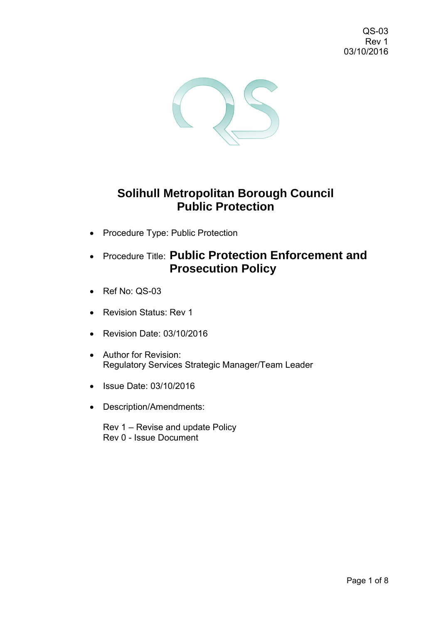QS-03 Rev 1 03/10/2016



# **Solihull Metropolitan Borough Council Public Protection**

- Procedure Type: Public Protection
- Procedure Title: **Public Protection Enforcement and Prosecution Policy**
- Ref No: QS-03
- Revision Status: Rev 1
- Revision Date: 03/10/2016
- Author for Revision: Regulatory Services Strategic Manager/Team Leader
- Issue Date: 03/10/2016
- Description/Amendments:

Rev 1 – Revise and update Policy Rev 0 - Issue Document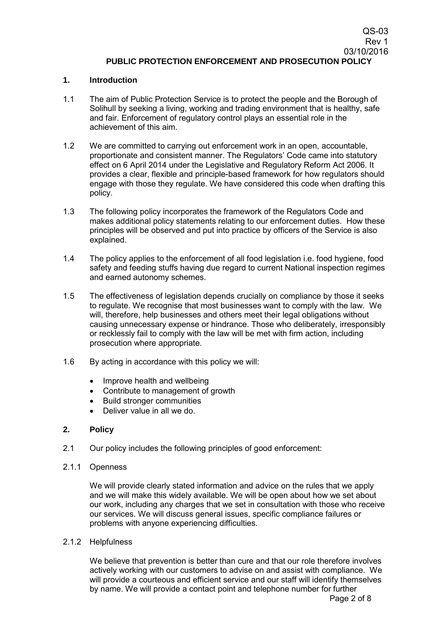## **1. Introduction**

- 1.1 The aim of Public Protection Service is to protect the people and the Borough of Solihull by seeking a living, working and trading environment that is healthy, safe and fair. Enforcement of regulatory control plays an essential role in the achievement of this aim.
- 1.2 We are committed to carrying out enforcement work in an open, accountable, proportionate and consistent manner. The Regulators' Code came into statutory effect on 6 April 2014 under the Legislative and Regulatory Reform Act 2006. It provides a clear, flexible and principle-based framework for how regulators should engage with those they regulate. We have considered this code when drafting this policy.
- 1.3 The following policy incorporates the framework of the Regulators Code and makes additional policy statements relating to our enforcement duties. How these principles will be observed and put into practice by officers of the Service is also explained.
- 1.4 The policy applies to the enforcement of all food legislation i.e. food hygiene, food safety and feeding stuffs having due regard to current National inspection regimes and earned autonomy schemes.
- 1.5 The effectiveness of legislation depends crucially on compliance by those it seeks to regulate. We recognise that most businesses want to comply with the law. We will, therefore, help businesses and others meet their legal obligations without causing unnecessary expense or hindrance. Those who deliberately, irresponsibly or recklessly fail to comply with the law will be met with firm action, including prosecution where appropriate.
- 1.6 By acting in accordance with this policy we will:
	- Improve health and wellbeing
	- Contribute to management of growth
	- Build stronger communities
	- **Deliver value in all we do.**

# **2. Policy**

2.1 Our policy includes the following principles of good enforcement:

#### 2.1.1 Openness

We will provide clearly stated information and advice on the rules that we apply and we will make this widely available. We will be open about how we set about our work, including any charges that we set in consultation with those who receive our services. We will discuss general issues, specific compliance failures or problems with anyone experiencing difficulties.

#### 2.1.2 Helpfulness

We believe that prevention is better than cure and that our role therefore involves actively working with our customers to advise on and assist with compliance. We will provide a courteous and efficient service and our staff will identify themselves by name. We will provide a contact point and telephone number for further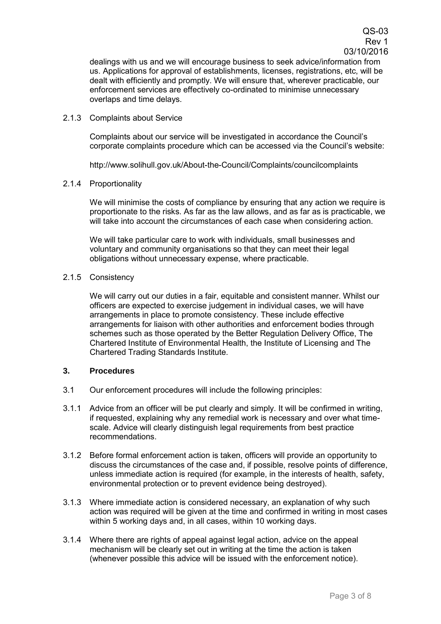dealings with us and we will encourage business to seek advice/information from us. Applications for approval of establishments, licenses, registrations, etc, will be dealt with efficiently and promptly. We will ensure that, wherever practicable, our enforcement services are effectively co-ordinated to minimise unnecessary overlaps and time delays.

2.1.3 Complaints about Service

Complaints about our service will be investigated in accordance the Council's corporate complaints procedure which can be accessed via the Council's website:

http://www.solihull.gov.uk/About-the-Council/Complaints/councilcomplaints

2.1.4 Proportionality

We will minimise the costs of compliance by ensuring that any action we require is proportionate to the risks. As far as the law allows, and as far as is practicable, we will take into account the circumstances of each case when considering action.

We will take particular care to work with individuals, small businesses and voluntary and community organisations so that they can meet their legal obligations without unnecessary expense, where practicable.

2.1.5 Consistency

We will carry out our duties in a fair, equitable and consistent manner. Whilst our officers are expected to exercise judgement in individual cases, we will have arrangements in place to promote consistency. These include effective arrangements for liaison with other authorities and enforcement bodies through schemes such as those operated by the Better Regulation Delivery Office, The Chartered Institute of Environmental Health, the Institute of Licensing and The Chartered Trading Standards Institute.

# **3. Procedures**

- 3.1 Our enforcement procedures will include the following principles:
- 3.1.1 Advice from an officer will be put clearly and simply. It will be confirmed in writing, if requested, explaining why any remedial work is necessary and over what timescale. Advice will clearly distinguish legal requirements from best practice recommendations.
- 3.1.2 Before formal enforcement action is taken, officers will provide an opportunity to discuss the circumstances of the case and, if possible, resolve points of difference, unless immediate action is required (for example, in the interests of health, safety, environmental protection or to prevent evidence being destroyed).
- 3.1.3 Where immediate action is considered necessary, an explanation of why such action was required will be given at the time and confirmed in writing in most cases within 5 working days and, in all cases, within 10 working days.
- 3.1.4 Where there are rights of appeal against legal action, advice on the appeal mechanism will be clearly set out in writing at the time the action is taken (whenever possible this advice will be issued with the enforcement notice).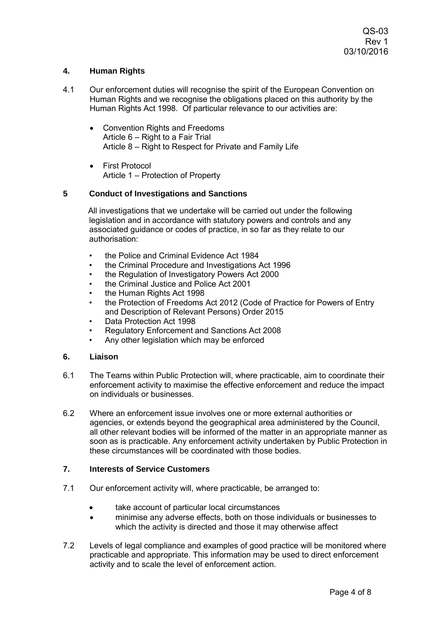# **4. Human Rights**

- 4.1 Our enforcement duties will recognise the spirit of the European Convention on Human Rights and we recognise the obligations placed on this authority by the Human Rights Act 1998. Of particular relevance to our activities are:
	- Convention Rights and Freedoms Article 6 – Right to a Fair Trial Article 8 – Right to Respect for Private and Family Life
	- First Protocol Article 1 – Protection of Property

# **5 Conduct of Investigations and Sanctions**

All investigations that we undertake will be carried out under the following legislation and in accordance with statutory powers and controls and any associated guidance or codes of practice, in so far as they relate to our authorisation:

- the Police and Criminal Evidence Act 1984
- the Criminal Procedure and Investigations Act 1996
- the Regulation of Investigatory Powers Act 2000
- the Criminal Justice and Police Act 2001
- the Human Rights Act 1998
- the Protection of Freedoms Act 2012 (Code of Practice for Powers of Entry and Description of Relevant Persons) Order 2015
- Data Protection Act 1998
- Regulatory Enforcement and Sanctions Act 2008
- Any other legislation which may be enforced

# **6. Liaison**

- 6.1 The Teams within Public Protection will, where practicable, aim to coordinate their enforcement activity to maximise the effective enforcement and reduce the impact on individuals or businesses.
- 6.2 Where an enforcement issue involves one or more external authorities or agencies, or extends beyond the geographical area administered by the Council, all other relevant bodies will be informed of the matter in an appropriate manner as soon as is practicable. Any enforcement activity undertaken by Public Protection in these circumstances will be coordinated with those bodies.

# **7. Interests of Service Customers**

- 7.1 Our enforcement activity will, where practicable, be arranged to:
	- take account of particular local circumstances
	- minimise any adverse effects, both on those individuals or businesses to which the activity is directed and those it may otherwise affect
- 7.2 Levels of legal compliance and examples of good practice will be monitored where practicable and appropriate. This information may be used to direct enforcement activity and to scale the level of enforcement action.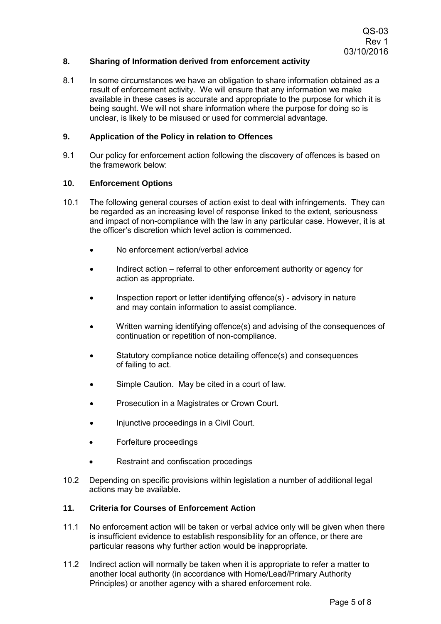# **8. Sharing of Information derived from enforcement activity**

8.1 In some circumstances we have an obligation to share information obtained as a result of enforcement activity. We will ensure that any information we make available in these cases is accurate and appropriate to the purpose for which it is being sought. We will not share information where the purpose for doing so is unclear, is likely to be misused or used for commercial advantage.

#### **9. Application of the Policy in relation to Offences**

9.1 Our policy for enforcement action following the discovery of offences is based on the framework below:

#### **10. Enforcement Options**

- 10.1 The following general courses of action exist to deal with infringements. They can be regarded as an increasing level of response linked to the extent, seriousness and impact of non-compliance with the law in any particular case. However, it is at the officer's discretion which level action is commenced.
	- No enforcement action/verbal advice
	- Indirect action referral to other enforcement authority or agency for action as appropriate.
	- Inspection report or letter identifying offence(s) advisory in nature and may contain information to assist compliance.
	- Written warning identifying offence(s) and advising of the consequences of continuation or repetition of non-compliance.
	- Statutory compliance notice detailing offence(s) and consequences of failing to act.
	- Simple Caution. May be cited in a court of law.
	- Prosecution in a Magistrates or Crown Court.
	- Injunctive proceedings in a Civil Court.
	- Forfeiture proceedings
	- Restraint and confiscation procedings
- 10.2 Depending on specific provisions within legislation a number of additional legal actions may be available.

## **11. Criteria for Courses of Enforcement Action**

- 11.1 No enforcement action will be taken or verbal advice only will be given when there is insufficient evidence to establish responsibility for an offence, or there are particular reasons why further action would be inappropriate.
- 11.2 Indirect action will normally be taken when it is appropriate to refer a matter to another local authority (in accordance with Home/Lead/Primary Authority Principles) or another agency with a shared enforcement role.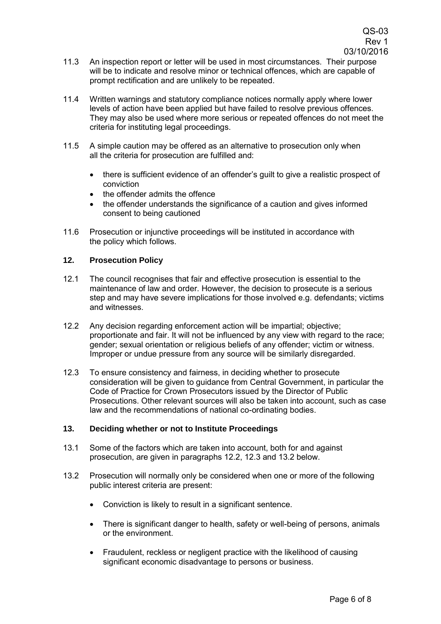- 11.3 An inspection report or letter will be used in most circumstances. Their purpose will be to indicate and resolve minor or technical offences, which are capable of prompt rectification and are unlikely to be repeated.
- 11.4 Written warnings and statutory compliance notices normally apply where lower levels of action have been applied but have failed to resolve previous offences. They may also be used where more serious or repeated offences do not meet the criteria for instituting legal proceedings.
- 11.5 A simple caution may be offered as an alternative to prosecution only when all the criteria for prosecution are fulfilled and:
	- there is sufficient evidence of an offender's guilt to give a realistic prospect of conviction
	- the offender admits the offence
	- the offender understands the significance of a caution and gives informed consent to being cautioned
- 11.6 Prosecution or injunctive proceedings will be instituted in accordance with the policy which follows.

#### **12. Prosecution Policy**

- 12.1 The council recognises that fair and effective prosecution is essential to the maintenance of law and order. However, the decision to prosecute is a serious step and may have severe implications for those involved e.g. defendants; victims and witnesses.
- 12.2 Any decision regarding enforcement action will be impartial; objective; proportionate and fair. It will not be influenced by any view with regard to the race; gender; sexual orientation or religious beliefs of any offender; victim or witness. Improper or undue pressure from any source will be similarly disregarded.
- 12.3 To ensure consistency and fairness, in deciding whether to prosecute consideration will be given to guidance from Central Government, in particular the Code of Practice for Crown Prosecutors issued by the Director of Public Prosecutions. Other relevant sources will also be taken into account, such as case law and the recommendations of national co-ordinating bodies.

#### **13. Deciding whether or not to Institute Proceedings**

- 13.1 Some of the factors which are taken into account, both for and against prosecution, are given in paragraphs 12.2, 12.3 and 13.2 below.
- 13.2 Prosecution will normally only be considered when one or more of the following public interest criteria are present:
	- Conviction is likely to result in a significant sentence.
	- There is significant danger to health, safety or well-being of persons, animals or the environment.
	- Fraudulent, reckless or negligent practice with the likelihood of causing significant economic disadvantage to persons or business.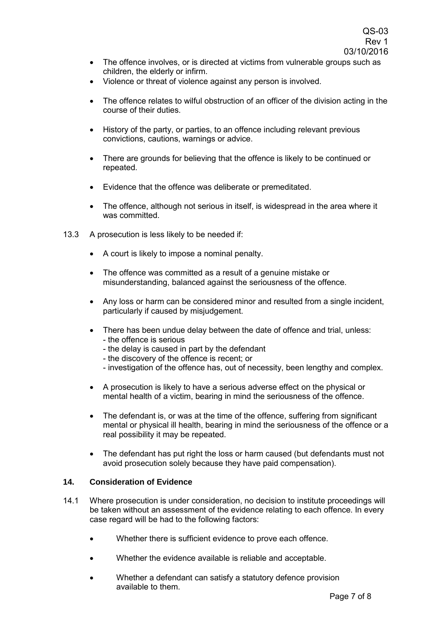- The offence involves, or is directed at victims from vulnerable groups such as children, the elderly or infirm.
- Violence or threat of violence against any person is involved.
- The offence relates to wilful obstruction of an officer of the division acting in the course of their duties.
- History of the party, or parties, to an offence including relevant previous convictions, cautions, warnings or advice.
- There are grounds for believing that the offence is likely to be continued or repeated.
- Evidence that the offence was deliberate or premeditated.
- The offence, although not serious in itself, is widespread in the area where it was committed.
- 13.3 A prosecution is less likely to be needed if:
	- A court is likely to impose a nominal penalty.
	- The offence was committed as a result of a genuine mistake or misunderstanding, balanced against the seriousness of the offence.
	- Any loss or harm can be considered minor and resulted from a single incident, particularly if caused by misjudgement.
	- There has been undue delay between the date of offence and trial, unless: - the offence is serious
		- the delay is caused in part by the defendant
		- the discovery of the offence is recent; or
		- investigation of the offence has, out of necessity, been lengthy and complex.
	- A prosecution is likely to have a serious adverse effect on the physical or mental health of a victim, bearing in mind the seriousness of the offence.
	- The defendant is, or was at the time of the offence, suffering from significant mental or physical ill health, bearing in mind the seriousness of the offence or a real possibility it may be repeated.
	- The defendant has put right the loss or harm caused (but defendants must not avoid prosecution solely because they have paid compensation).

#### **14. Consideration of Evidence**

- 14.1 Where prosecution is under consideration, no decision to institute proceedings will be taken without an assessment of the evidence relating to each offence. In every case regard will be had to the following factors:
	- Whether there is sufficient evidence to prove each offence.
	- Whether the evidence available is reliable and acceptable.
	- Whether a defendant can satisfy a statutory defence provision available to them.